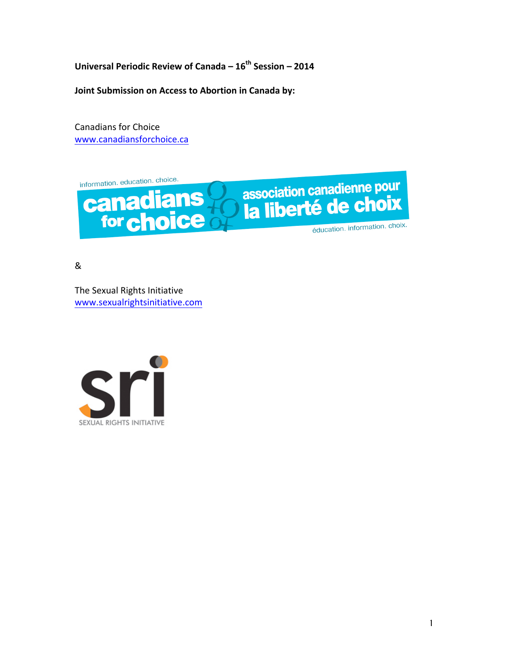**Universal Periodic Review of Canada – 16th Session – 2014**

**Joint Submission on Access to Abortion in Canada by:** 

Canadians for Choice www.canadiansforchoice.ca

information. education. choice. association canadienne pour<br>la liberté de choix canadians éducation. information. choix.

&

The Sexual Rights Initiative www.sexualrightsinitiative.com

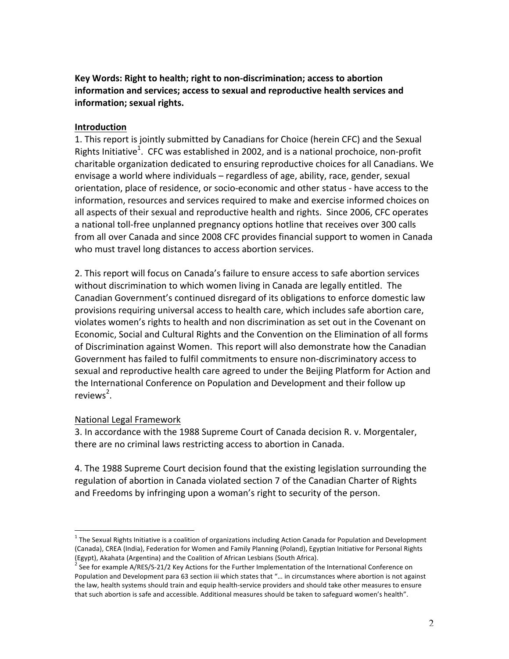Key Words: Right to health; right to non-discrimination; access to abortion information and services; access to sexual and reproductive health services and **information; sexual rights.**

#### **Introduction**

1. This report is jointly submitted by Canadians for Choice (herein CFC) and the Sexual Rights Initiative<sup>1</sup>. CFC was established in 2002, and is a national prochoice, non-profit charitable organization dedicated to ensuring reproductive choices for all Canadians. We envisage a world where individuals – regardless of age, ability, race, gender, sexual orientation, place of residence, or socio-economic and other status - have access to the information, resources and services required to make and exercise informed choices on all aspects of their sexual and reproductive health and rights. Since 2006, CFC operates a national toll-free unplanned pregnancy options hotline that receives over 300 calls from all over Canada and since 2008 CFC provides financial support to women in Canada who must travel long distances to access abortion services.

2. This report will focus on Canada's failure to ensure access to safe abortion services without discrimination to which women living in Canada are legally entitled. The Canadian Government's continued disregard of its obligations to enforce domestic law provisions requiring universal access to health care, which includes safe abortion care, violates women's rights to health and non discrimination as set out in the Covenant on Economic, Social and Cultural Rights and the Convention on the Elimination of all forms of Discrimination against Women. This report will also demonstrate how the Canadian Government has failed to fulfil commitments to ensure non-discriminatory access to sexual and reproductive health care agreed to under the Beijing Platform for Action and the International Conference on Population and Development and their follow up reviews<sup>2</sup>.

### National Legal Framework

3. In accordance with the 1988 Supreme Court of Canada decision R. v. Morgentaler, there are no criminal laws restricting access to abortion in Canada.

4. The 1988 Supreme Court decision found that the existing legislation surrounding the regulation of abortion in Canada violated section 7 of the Canadian Charter of Rights and Freedoms by infringing upon a woman's right to security of the person.

 $1$  The Sexual Rights Initiative is a coalition of organizations including Action Canada for Population and Development (Canada), CREA (India), Federation for Women and Family Planning (Poland), Egyptian Initiative for Personal Rights (Egypt), Akahata (Argentina) and the Coalition of African Lesbians (South Africa).

<sup>&</sup>lt;sup>2</sup> See for example A/RES/S-21/2 Key Actions for the Further Implementation of the International Conference on Population and Development para 63 section iii which states that "... in circumstances where abortion is not against the law, health systems should train and equip health-service providers and should take other measures to ensure that such abortion is safe and accessible. Additional measures should be taken to safeguard women's health".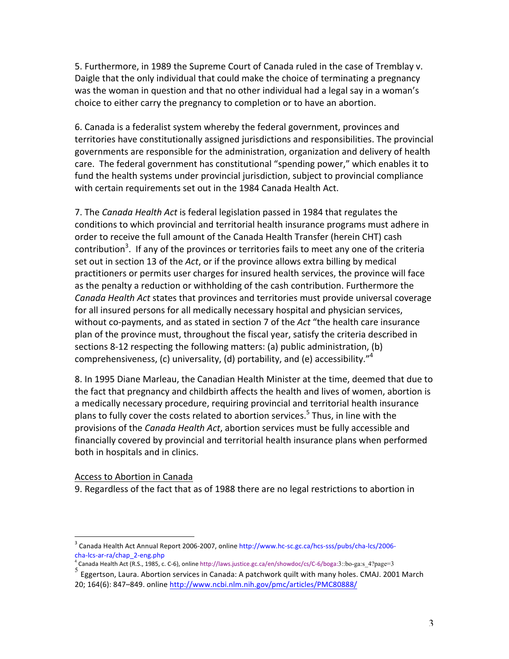5. Furthermore, in 1989 the Supreme Court of Canada ruled in the case of Tremblay v. Daigle that the only individual that could make the choice of terminating a pregnancy was the woman in question and that no other individual had a legal say in a woman's choice to either carry the pregnancy to completion or to have an abortion.

6. Canada is a federalist system whereby the federal government, provinces and territories have constitutionally assigned jurisdictions and responsibilities. The provincial governments are responsible for the administration, organization and delivery of health care. The federal government has constitutional "spending power," which enables it to fund the health systems under provincial jurisdiction, subject to provincial compliance with certain requirements set out in the 1984 Canada Health Act.

7. The *Canada Health Act* is federal legislation passed in 1984 that regulates the conditions to which provincial and territorial health insurance programs must adhere in order to receive the full amount of the Canada Health Transfer (herein CHT) cash contribution<sup>3</sup>. If any of the provinces or territories fails to meet any one of the criteria set out in section 13 of the *Act*, or if the province allows extra billing by medical practitioners or permits user charges for insured health services, the province will face as the penalty a reduction or withholding of the cash contribution. Furthermore the *Canada Health Act* states that provinces and territories must provide universal coverage for all insured persons for all medically necessary hospital and physician services, without co-payments, and as stated in section 7 of the Act "the health care insurance plan of the province must, throughout the fiscal year, satisfy the criteria described in sections 8-12 respecting the following matters: (a) public administration, (b) comprehensiveness, (c) universality, (d) portability, and (e) accessibility."<sup>4</sup>

8. In 1995 Diane Marleau, the Canadian Health Minister at the time, deemed that due to the fact that pregnancy and childbirth affects the health and lives of women, abortion is a medically necessary procedure, requiring provincial and territorial health insurance plans to fully cover the costs related to abortion services.<sup>5</sup> Thus, in line with the provisions of the *Canada Health Act*, abortion services must be fully accessible and financially covered by provincial and territorial health insurance plans when performed both in hospitals and in clinics.

#### Access to Abortion in Canada

9. Regardless of the fact that as of 1988 there are no legal restrictions to abortion in

 $3$  Canada Health Act Annual Report 2006-2007, online http://www.hc-sc.gc.ca/hcs-sss/pubs/cha-lcs/2006cha-lcs-ar-ra/chap\_2-eng.php

 $^4$  Canada Health Act (R.S., 1985, c. C-6), online http://laws.justice.gc.ca/en/showdoc/cs/C-6/boga:3::bo-ga:s\_4?page=3

 $<sup>5</sup>$  Eggertson, Laura. Abortion services in Canada: A patchwork quilt with many holes. CMAJ. 2001 March</sup> 20; 164(6): 847–849. online http://www.ncbi.nlm.nih.gov/pmc/articles/PMC80888/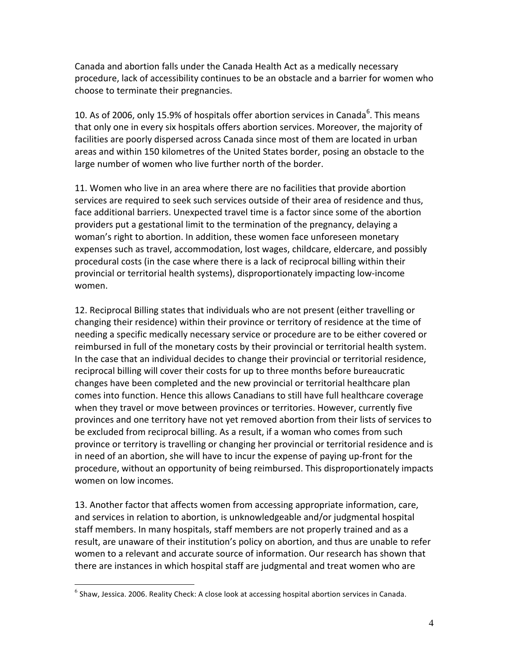Canada and abortion falls under the Canada Health Act as a medically necessary procedure, lack of accessibility continues to be an obstacle and a barrier for women who choose to terminate their pregnancies.

10. As of 2006, only 15.9% of hospitals offer abortion services in Canada<sup>6</sup>. This means that only one in every six hospitals offers abortion services. Moreover, the majority of facilities are poorly dispersed across Canada since most of them are located in urban areas and within 150 kilometres of the United States border, posing an obstacle to the large number of women who live further north of the border.

11. Women who live in an area where there are no facilities that provide abortion services are required to seek such services outside of their area of residence and thus, face additional barriers. Unexpected travel time is a factor since some of the abortion providers put a gestational limit to the termination of the pregnancy, delaying a woman's right to abortion. In addition, these women face unforeseen monetary expenses such as travel, accommodation, lost wages, childcare, eldercare, and possibly procedural costs (in the case where there is a lack of reciprocal billing within their provincial or territorial health systems), disproportionately impacting low-income women.

12. Reciprocal Billing states that individuals who are not present (either travelling or changing their residence) within their province or territory of residence at the time of needing a specific medically necessary service or procedure are to be either covered or reimbursed in full of the monetary costs by their provincial or territorial health system. In the case that an individual decides to change their provincial or territorial residence, reciprocal billing will cover their costs for up to three months before bureaucratic changes have been completed and the new provincial or territorial healthcare plan comes into function. Hence this allows Canadians to still have full healthcare coverage when they travel or move between provinces or territories. However, currently five provinces and one territory have not yet removed abortion from their lists of services to be excluded from reciprocal billing. As a result, if a woman who comes from such province or territory is travelling or changing her provincial or territorial residence and is in need of an abortion, she will have to incur the expense of paying up-front for the procedure, without an opportunity of being reimbursed. This disproportionately impacts women on low incomes.

13. Another factor that affects women from accessing appropriate information, care, and services in relation to abortion, is unknowledgeable and/or judgmental hospital staff members. In many hospitals, staff members are not properly trained and as a result, are unaware of their institution's policy on abortion, and thus are unable to refer women to a relevant and accurate source of information. Our research has shown that there are instances in which hospital staff are judgmental and treat women who are

 $^6$  Shaw, Jessica. 2006. Reality Check: A close look at accessing hospital abortion services in Canada.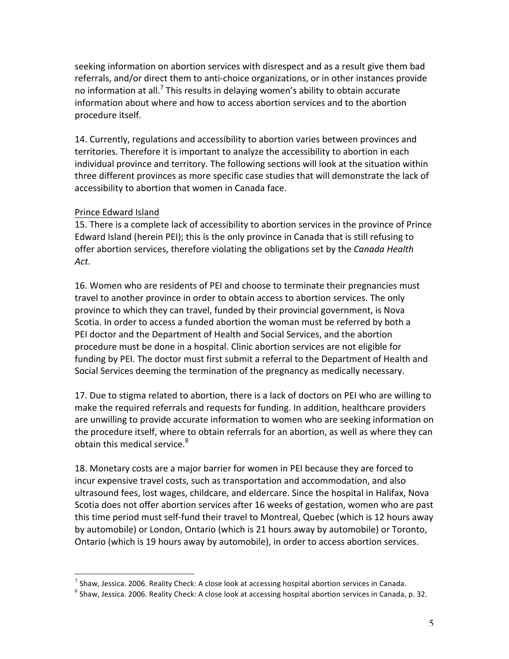seeking information on abortion services with disrespect and as a result give them bad referrals, and/or direct them to anti-choice organizations, or in other instances provide no information at all.<sup>7</sup> This results in delaying women's ability to obtain accurate information about where and how to access abortion services and to the abortion procedure itself.

14. Currently, regulations and accessibility to abortion varies between provinces and territories. Therefore it is important to analyze the accessibility to abortion in each individual province and territory. The following sections will look at the situation within three different provinces as more specific case studies that will demonstrate the lack of accessibility to abortion that women in Canada face.

# Prince Edward Island

15. There is a complete lack of accessibility to abortion services in the province of Prince Edward Island (herein PEI); this is the only province in Canada that is still refusing to offer abortion services, therefore violating the obligations set by the *Canada Health Act*.

16. Women who are residents of PEI and choose to terminate their pregnancies must travel to another province in order to obtain access to abortion services. The only province to which they can travel, funded by their provincial government, is Nova Scotia. In order to access a funded abortion the woman must be referred by both a PEI doctor and the Department of Health and Social Services, and the abortion procedure must be done in a hospital. Clinic abortion services are not eligible for funding by PEI. The doctor must first submit a referral to the Department of Health and Social Services deeming the termination of the pregnancy as medically necessary.

17. Due to stigma related to abortion, there is a lack of doctors on PEI who are willing to make the required referrals and requests for funding. In addition, healthcare providers are unwilling to provide accurate information to women who are seeking information on the procedure itself, where to obtain referrals for an abortion, as well as where they can obtain this medical service. $8<sup>8</sup>$ 

18. Monetary costs are a major barrier for women in PEI because they are forced to incur expensive travel costs, such as transportation and accommodation, and also ultrasound fees, lost wages, childcare, and eldercare. Since the hospital in Halifax, Nova Scotia does not offer abortion services after 16 weeks of gestation, women who are past this time period must self-fund their travel to Montreal, Quebec (which is 12 hours away by automobile) or London, Ontario (which is 21 hours away by automobile) or Toronto, Ontario (which is 19 hours away by automobile), in order to access abortion services.

 $^7$  Shaw, Jessica. 2006. Reality Check: A close look at accessing hospital abortion services in Canada.

 $8$  Shaw, Jessica. 2006. Reality Check: A close look at accessing hospital abortion services in Canada, p. 32.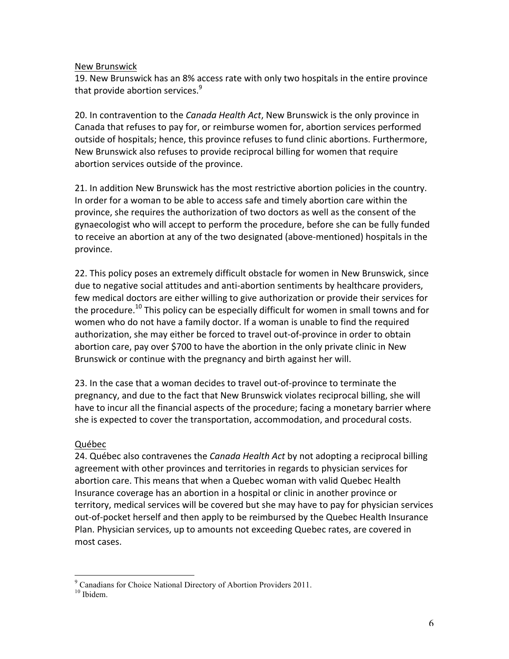### New Brunswick

19. New Brunswick has an 8% access rate with only two hospitals in the entire province that provide abortion services.<sup>9</sup>

20. In contravention to the *Canada Health Act*, New Brunswick is the only province in Canada that refuses to pay for, or reimburse women for, abortion services performed outside of hospitals; hence, this province refuses to fund clinic abortions. Furthermore, New Brunswick also refuses to provide reciprocal billing for women that require abortion services outside of the province.

21. In addition New Brunswick has the most restrictive abortion policies in the country. In order for a woman to be able to access safe and timely abortion care within the province, she requires the authorization of two doctors as well as the consent of the gynaecologist who will accept to perform the procedure, before she can be fully funded to receive an abortion at any of the two designated (above-mentioned) hospitals in the province.

22. This policy poses an extremely difficult obstacle for women in New Brunswick, since due to negative social attitudes and anti-abortion sentiments by healthcare providers, few medical doctors are either willing to give authorization or provide their services for the procedure.<sup>10</sup> This policy can be especially difficult for women in small towns and for women who do not have a family doctor. If a woman is unable to find the required authorization, she may either be forced to travel out-of-province in order to obtain abortion care, pay over \$700 to have the abortion in the only private clinic in New Brunswick or continue with the pregnancy and birth against her will.

23. In the case that a woman decides to travel out-of-province to terminate the pregnancy, and due to the fact that New Brunswick violates reciprocal billing, she will have to incur all the financial aspects of the procedure; facing a monetary barrier where she is expected to cover the transportation, accommodation, and procedural costs.

### Québec

24. Québec also contravenes the *Canada Health Act* by not adopting a reciprocal billing agreement with other provinces and territories in regards to physician services for abortion care. This means that when a Quebec woman with valid Quebec Health Insurance coverage has an abortion in a hospital or clinic in another province or territory, medical services will be covered but she may have to pay for physician services out-of-pocket herself and then apply to be reimbursed by the Quebec Health Insurance Plan. Physician services, up to amounts not exceeding Quebec rates, are covered in most cases.

 $9^9$  Canadians for Choice National Directory of Abortion Providers 2011.

<sup>&</sup>lt;sup>10</sup> Ibidem.